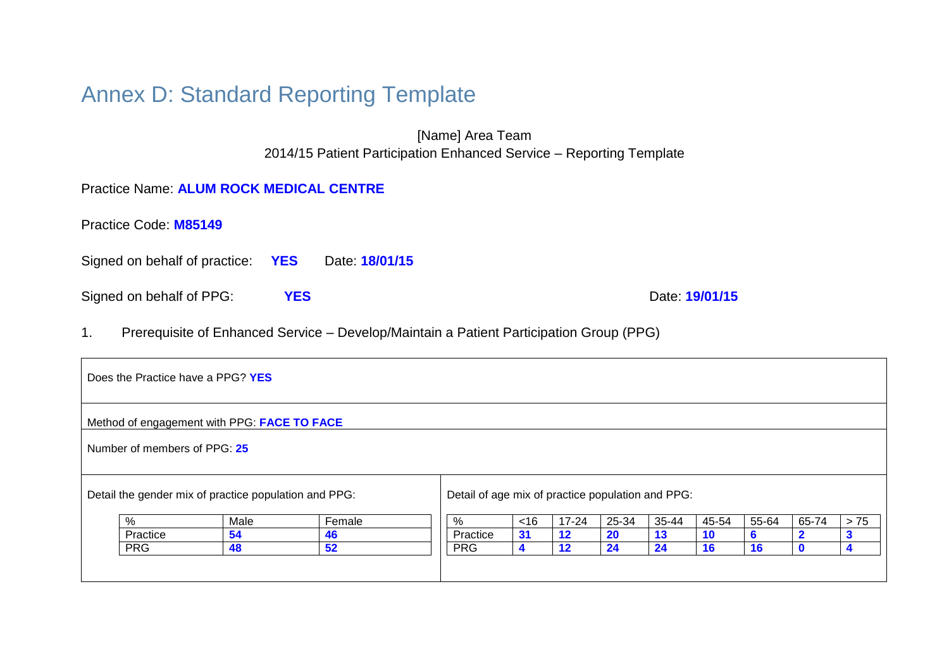# Annex D: Standard Reporting Template

[Name] Area Team 2014/15 Patient Participation Enhanced Service – Reporting Template

# Practice Name: **ALUM ROCK MEDICAL CENTRE**

| Practice Code: M85149 |  |
|-----------------------|--|
|-----------------------|--|

Signed on behalf of practice: **YES** Date: **18/01/15**

Signed on behalf of PPG: **YES** Date: **19/01/15** 

1. Prerequisite of Enhanced Service – Develop/Maintain a Patient Participation Group (PPG)

| Does the Practice have a PPG? YES |                                                       |        |                                                   |                      |           |           |       |       |       |       |       |
|-----------------------------------|-------------------------------------------------------|--------|---------------------------------------------------|----------------------|-----------|-----------|-------|-------|-------|-------|-------|
|                                   | Method of engagement with PPG: FACE TO FACE           |        |                                                   |                      |           |           |       |       |       |       |       |
| Number of members of PPG: 25      |                                                       |        |                                                   |                      |           |           |       |       |       |       |       |
|                                   | Detail the gender mix of practice population and PPG: |        | Detail of age mix of practice population and PPG: |                      |           |           |       |       |       |       |       |
| %                                 | Male                                                  | Female | %                                                 | <16                  | $17 - 24$ | 25-34     | 35-44 | 45-54 | 55-64 | 65-74 | $>75$ |
| Practice                          | 54                                                    | 46     | Practice                                          | 31                   | $12 \,$   | <b>20</b> | 13    | 10    | b     |       |       |
| <b>PRG</b>                        | 48                                                    | 52     | <b>PRG</b>                                        | $\blacktriangleleft$ | 12        | 24        | 24    | 16    | 16    |       |       |
|                                   |                                                       |        |                                                   |                      |           |           |       |       |       |       |       |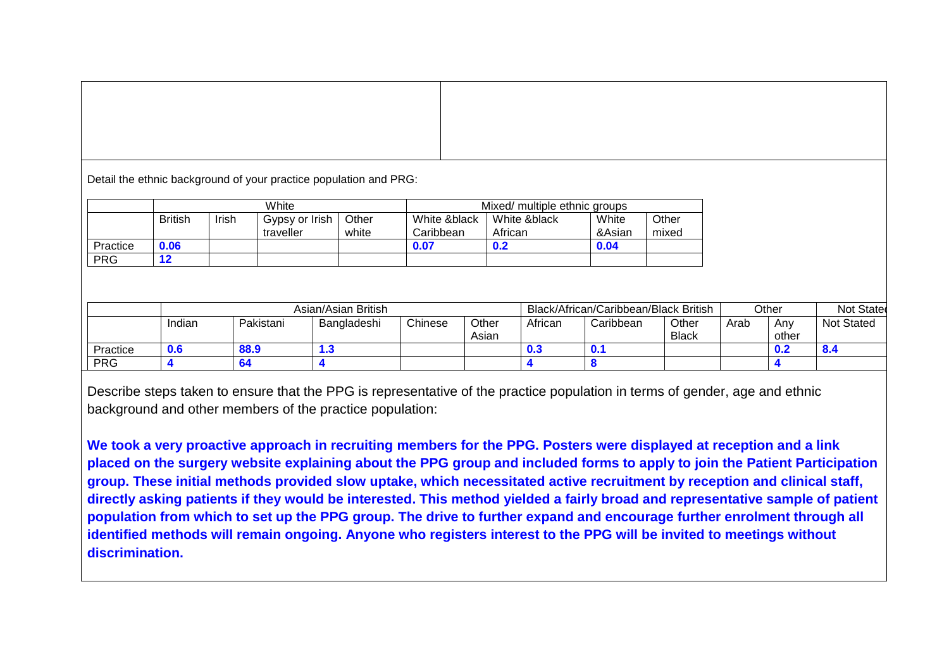Detail the ethnic background of your practice population and PRG:

|            |                |       | White                       |                | Mixed/ multiple ethnic groups |                         |                 |                |  |
|------------|----------------|-------|-----------------------------|----------------|-------------------------------|-------------------------|-----------------|----------------|--|
|            | <b>British</b> | Irish | Gypsy or Irish<br>traveller | Other<br>white | White &black<br>Caribbean     | White &black<br>African | White<br>&Asian | Other<br>mixed |  |
| Practice   | 0.06           |       |                             |                | 0.07                          | 0.2                     | 0.04            |                |  |
| <b>PRG</b> |                |       |                             |                |                               |                         |                 |                |  |

|            | Asian/Asian British |           |             |         |                | Black/African/Caribbean/Black British |            |                       |      | Other        | Not Stated        |
|------------|---------------------|-----------|-------------|---------|----------------|---------------------------------------|------------|-----------------------|------|--------------|-------------------|
|            | Indian              | Pakistani | Bangladeshi | Chinese | Other<br>Asian | African                               | Caribbean  | Other<br><b>Black</b> | Arab | Anv<br>other | <b>Not Stated</b> |
| Practice   | 0.6                 | 88.9      | 1.3         |         |                | $\bf{0.3}$                            | <b>U.1</b> |                       |      | 0.2          | 0.4               |
| <b>PRG</b> |                     |           |             |         |                |                                       |            |                       |      |              |                   |

Describe steps taken to ensure that the PPG is representative of the practice population in terms of gender, age and ethnic background and other members of the practice population:

**We took a very proactive approach in recruiting members for the PPG. Posters were displayed at reception and a link placed on the surgery website explaining about the PPG group and included forms to apply to join the Patient Participation group. These initial methods provided slow uptake, which necessitated active recruitment by reception and clinical staff, directly asking patients if they would be interested. This method yielded a fairly broad and representative sample of patient population from which to set up the PPG group. The drive to further expand and encourage further enrolment through all identified methods will remain ongoing. Anyone who registers interest to the PPG will be invited to meetings without discrimination.**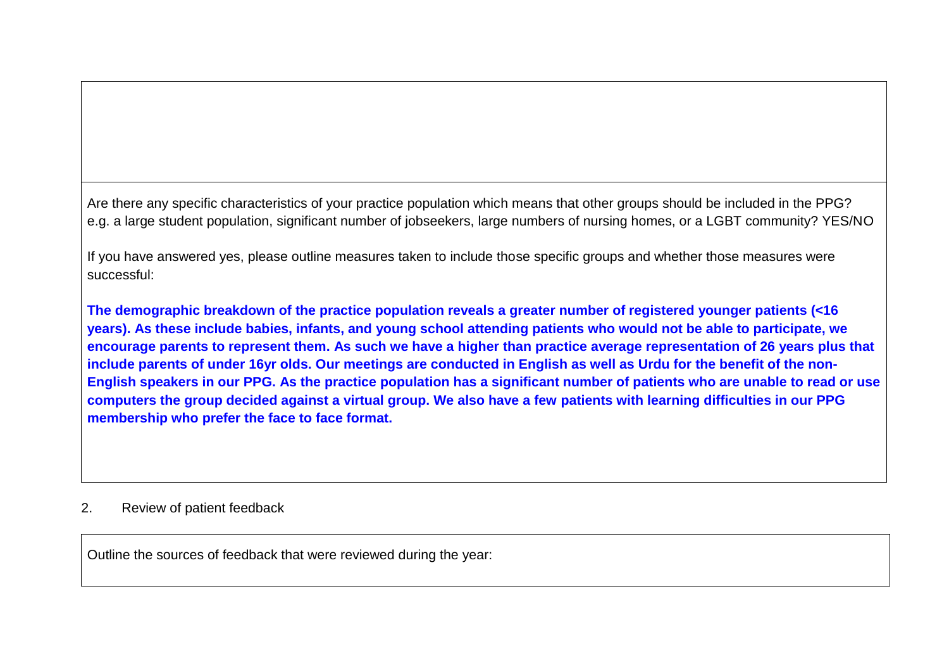Are there any specific characteristics of your practice population which means that other groups should be included in the PPG? e.g. a large student population, significant number of jobseekers, large numbers of nursing homes, or a LGBT community? YES/NO

If you have answered yes, please outline measures taken to include those specific groups and whether those measures were successful:

**The demographic breakdown of the practice population reveals a greater number of registered younger patients (<16 years). As these include babies, infants, and young school attending patients who would not be able to participate, we encourage parents to represent them. As such we have a higher than practice average representation of 26 years plus that include parents of under 16yr olds. Our meetings are conducted in English as well as Urdu for the benefit of the non-English speakers in our PPG. As the practice population has a significant number of patients who are unable to read or use computers the group decided against a virtual group. We also have a few patients with learning difficulties in our PPG membership who prefer the face to face format.**

# 2. Review of patient feedback

Outline the sources of feedback that were reviewed during the year: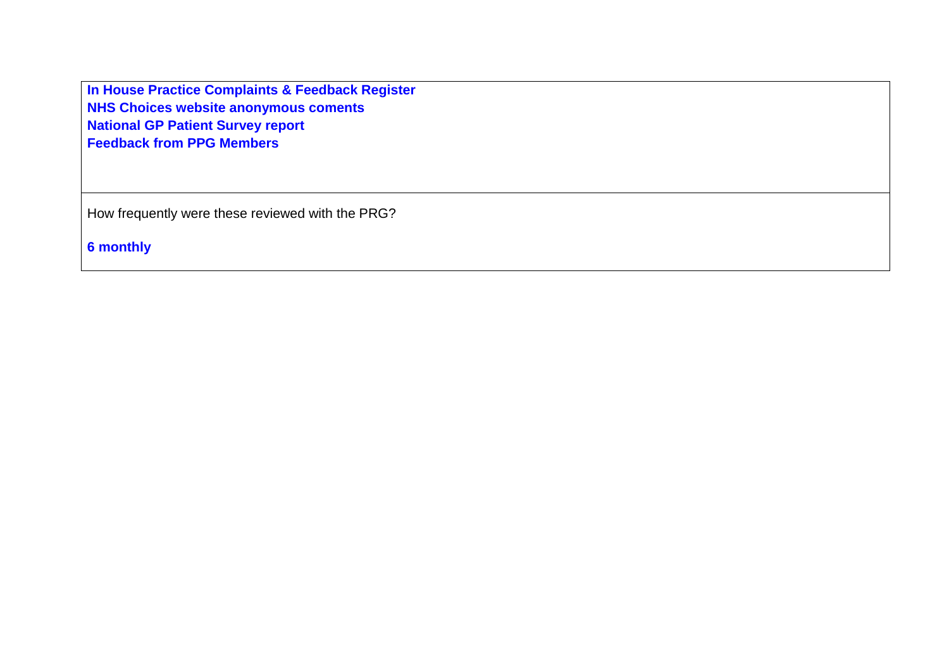**In House Practice Complaints & Feedback Register NHS Choices website anonymous coments National GP Patient Survey report Feedback from PPG Members**

How frequently were these reviewed with the PRG?

**6 monthly**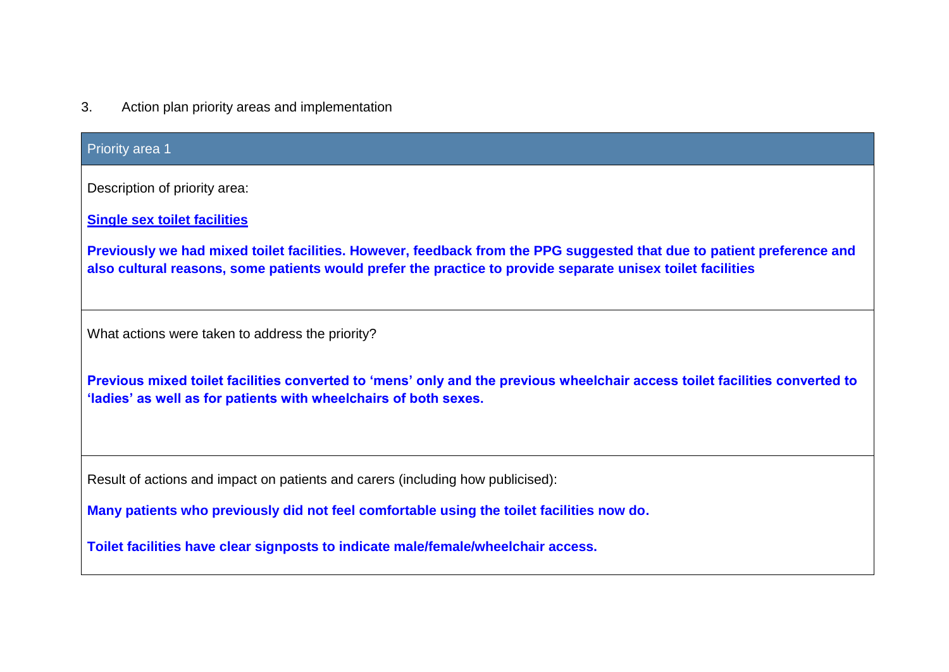3. Action plan priority areas and implementation

### Priority area 1

Description of priority area:

**Single sex toilet facilities**

**Previously we had mixed toilet facilities. However, feedback from the PPG suggested that due to patient preference and also cultural reasons, some patients would prefer the practice to provide separate unisex toilet facilities** 

What actions were taken to address the priority?

**Previous mixed toilet facilities converted to 'mens' only and the previous wheelchair access toilet facilities converted to 'ladies' as well as for patients with wheelchairs of both sexes.**

Result of actions and impact on patients and carers (including how publicised):

**Many patients who previously did not feel comfortable using the toilet facilities now do.** 

**Toilet facilities have clear signposts to indicate male/female/wheelchair access.**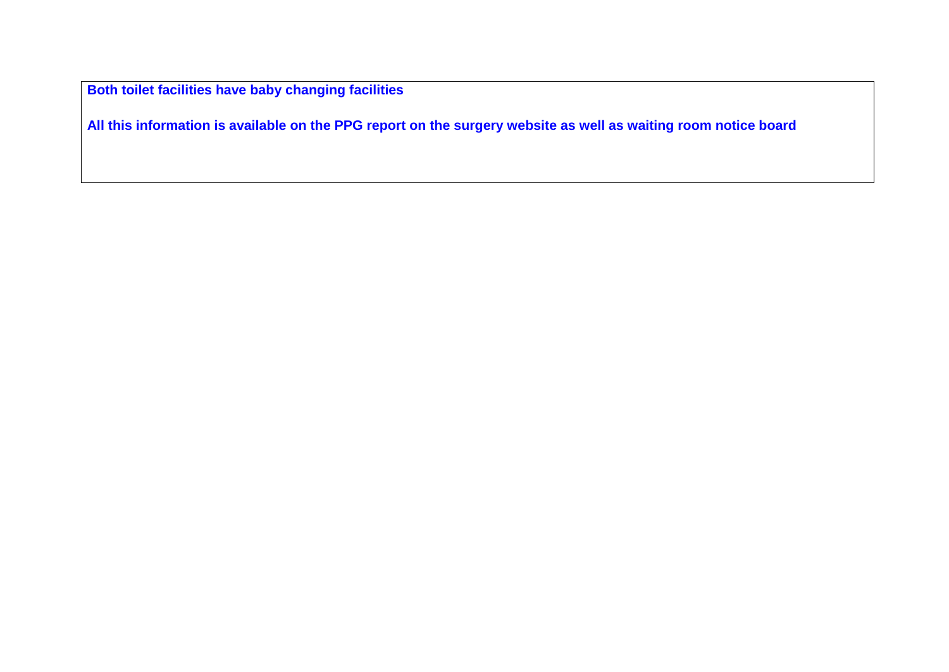**Both toilet facilities have baby changing facilities**

**All this information is available on the PPG report on the surgery website as well as waiting room notice board**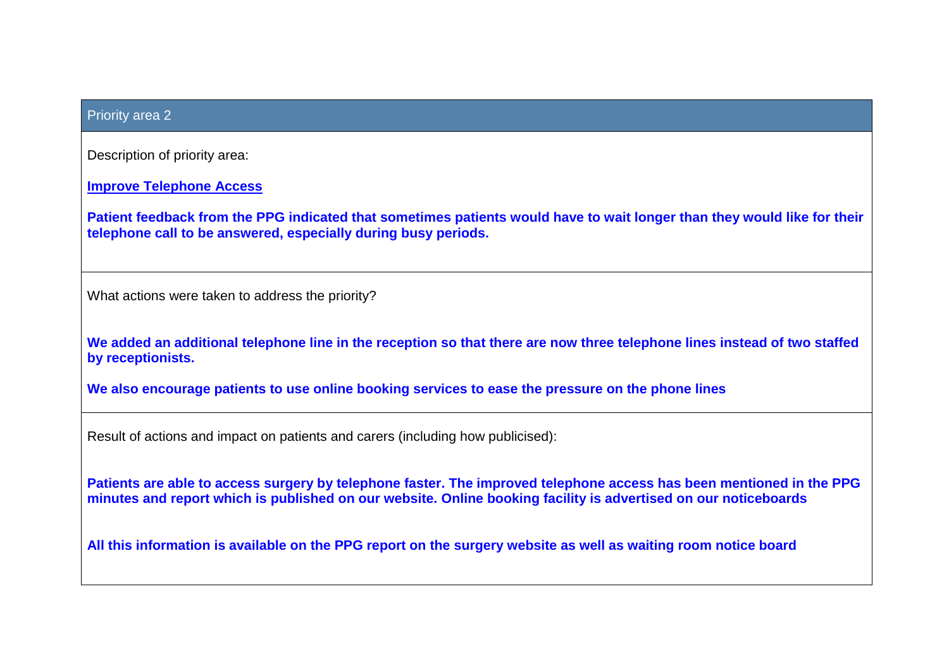#### Priority area 2

Description of priority area:

**Improve Telephone Access**

**Patient feedback from the PPG indicated that sometimes patients would have to wait longer than they would like for their telephone call to be answered, especially during busy periods.**

What actions were taken to address the priority?

**We added an additional telephone line in the reception so that there are now three telephone lines instead of two staffed by receptionists.**

**We also encourage patients to use online booking services to ease the pressure on the phone lines**

Result of actions and impact on patients and carers (including how publicised):

**Patients are able to access surgery by telephone faster. The improved telephone access has been mentioned in the PPG minutes and report which is published on our website. Online booking facility is advertised on our noticeboards**

**All this information is available on the PPG report on the surgery website as well as waiting room notice board**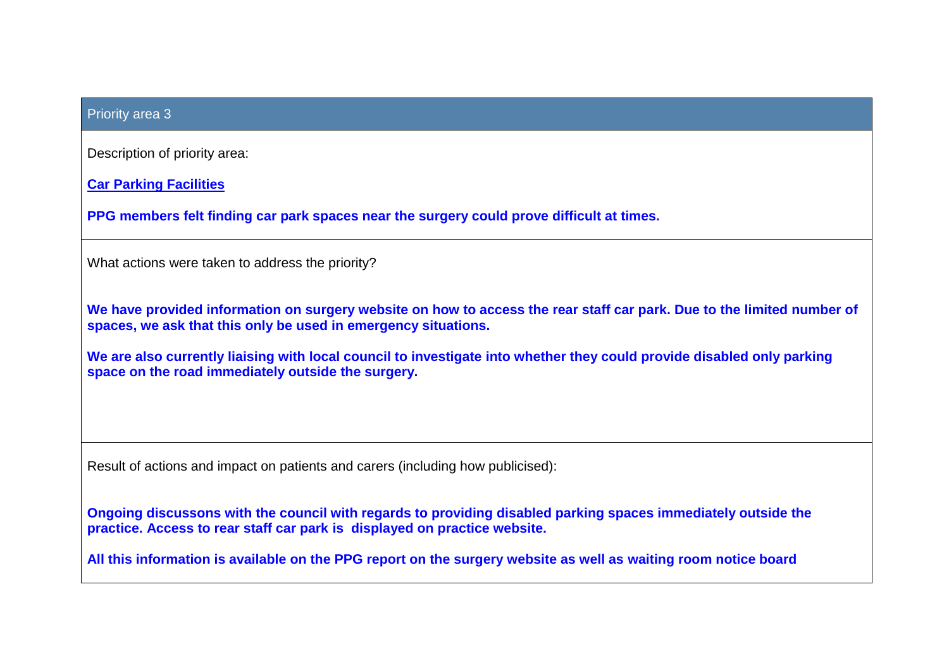| <b>Priority area 3</b>                                                                                                                                                                     |
|--------------------------------------------------------------------------------------------------------------------------------------------------------------------------------------------|
| Description of priority area:                                                                                                                                                              |
| <b>Car Parking Facilities</b>                                                                                                                                                              |
| PPG members felt finding car park spaces near the surgery could prove difficult at times.                                                                                                  |
| What actions were taken to address the priority?                                                                                                                                           |
| We have provided information on surgery website on how to access the rear staff car park. Due to the limited number of<br>spaces, we ask that this only be used in emergency situations.   |
| We are also currently liaising with local council to investigate into whether they could provide disabled only parking<br>space on the road immediately outside the surgery.               |
|                                                                                                                                                                                            |
| Result of actions and impact on patients and carers (including how publicised):                                                                                                            |
| Ongoing discussons with the council with regards to providing disabled parking spaces immediately outside the<br>practice. Access to rear staff car park is displayed on practice website. |
| All this information is available on the PPG report on the surgery website as well as waiting room notice board                                                                            |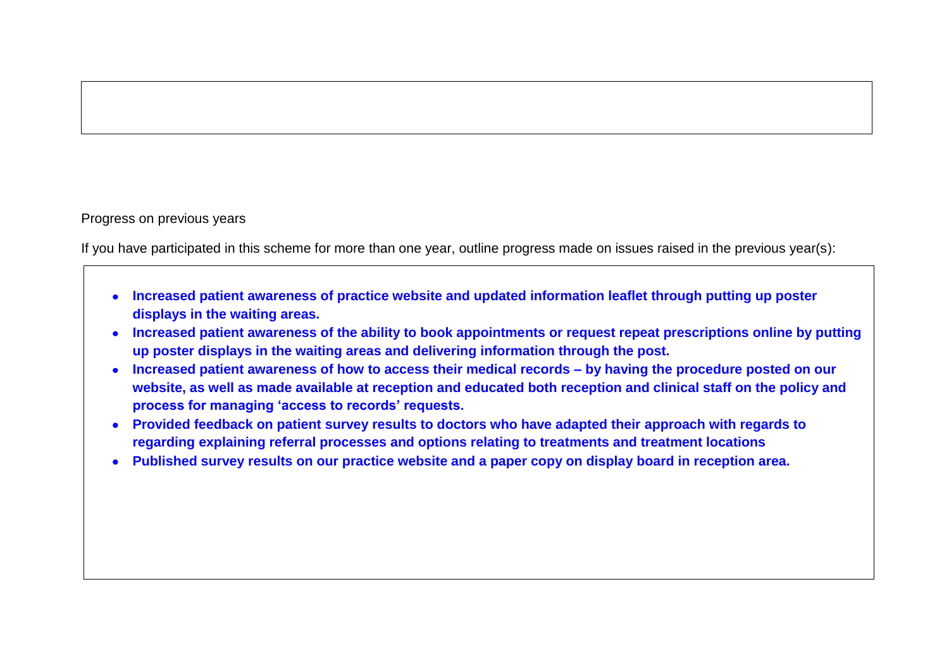#### Progress on previous years

If you have participated in this scheme for more than one year, outline progress made on issues raised in the previous year(s):

- **Increased patient awareness of practice website and updated information leaflet through putting up poster displays in the waiting areas.**
- **Increased patient awareness of the ability to book appointments or request repeat prescriptions online by putting up poster displays in the waiting areas and delivering information through the post.**
- **Increased patient awareness of how to access their medical records – by having the procedure posted on our website, as well as made available at reception and educated both reception and clinical staff on the policy and process for managing 'access to records' requests.**
- **Provided feedback on patient survey results to doctors who have adapted their approach with regards to regarding explaining referral processes and options relating to treatments and treatment locations**
- **Published survey results on our practice website and a paper copy on display board in reception area.**